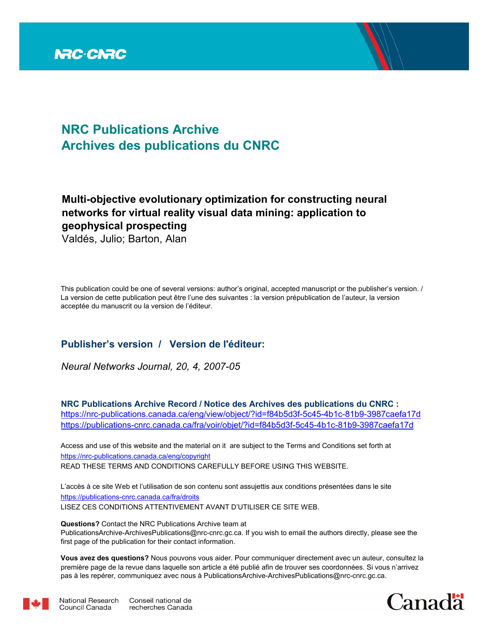

# **NRC Publications Archive Archives des publications du CNRC**

## **Multi-objective evolutionary optimization for constructing neural networks for virtual reality visual data mining: application to geophysical prospecting**

Valdés, Julio; Barton, Alan

This publication could be one of several versions: author's original, accepted manuscript or the publisher's version. / La version de cette publication peut être l'une des suivantes : la version prépublication de l'auteur, la version acceptée du manuscrit ou la version de l'éditeur.

### **Publisher's version / Version de l'éditeur:**

*Neural Networks Journal, 20, 4, 2007-05*

**NRC Publications Archive Record / Notice des Archives des publications du CNRC :** https://nrc-publications.canada.ca/eng/view/object/?id=f84b5d3f-5c45-4b1c-81b9-3987caefa17d https://publications-cnrc.canada.ca/fra/voir/objet/?id=f84b5d3f-5c45-4b1c-81b9-3987caefa17d

READ THESE TERMS AND CONDITIONS CAREFULLY BEFORE USING THIS WEBSITE. https://nrc-publications.canada.ca/eng/copyright Access and use of this website and the material on it are subject to the Terms and Conditions set forth at

https://publications-cnrc.canada.ca/fra/droits L'accès à ce site Web et l'utilisation de son contenu sont assujettis aux conditions présentées dans le site LISEZ CES CONDITIONS ATTENTIVEMENT AVANT D'UTILISER CE SITE WEB.

**Questions?** Contact the NRC Publications Archive team at PublicationsArchive-ArchivesPublications@nrc-cnrc.gc.ca. If you wish to email the authors directly, please see the first page of the publication for their contact information.

**Vous avez des questions?** Nous pouvons vous aider. Pour communiquer directement avec un auteur, consultez la première page de la revue dans laquelle son article a été publié afin de trouver ses coordonnées. Si vous n'arrivez pas à les repérer, communiquez avec nous à PublicationsArchive-ArchivesPublications@nrc-cnrc.gc.ca.





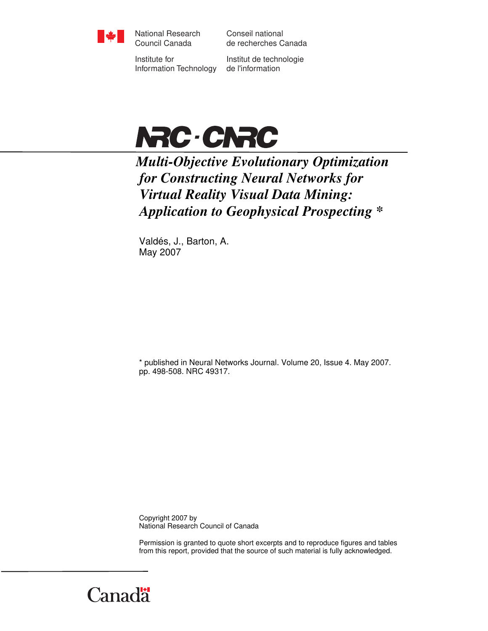

National Research Council Canada

Conseil national de recherches Canada

Institute for Information Technology

Institut de technologie de l'information



*Multi-Objective Evolutionary Optimization for Constructing Neural Networks for Virtual Reality Visual Data Mining: Application to Geophysical Prospecting \** 

Valdés, J., Barton, A. May 2007

\* published in Neural Networks Journal. Volume 20, Issue 4. May 2007. pp. 498-508. NRC 49317.

Copyright 2007 by National Research Council of Canada

Permission is granted to quote short excerpts and to reproduce figures and tables from this report, provided that the source of such material is fully acknowledged.

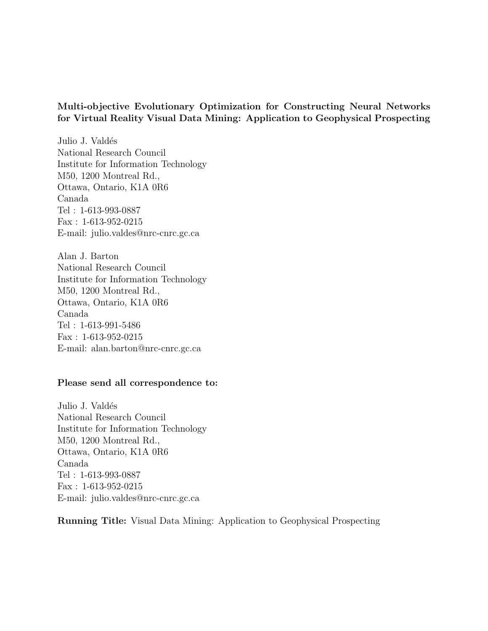### Multi-objective Evolutionary Optimization for Constructing Neural Networks for Virtual Reality Visual Data Mining: Application to Geophysical Prospecting

Julio J. Valdés National Research Council Institute for Information Technology M50, 1200 Montreal Rd., Ottawa, Ontario, K1A 0R6 Canada Tel : 1-613-993-0887 Fax : 1-613-952-0215 E-mail: julio.valdes@nrc-cnrc.gc.ca

Alan J. Barton National Research Council Institute for Information Technology M50, 1200 Montreal Rd., Ottawa, Ontario, K1A 0R6 Canada Tel : 1-613-991-5486 Fax : 1-613-952-0215 E-mail: alan.barton@nrc-cnrc.gc.ca

#### Please send all correspondence to:

Julio J. Valdés National Research Council Institute for Information Technology M50, 1200 Montreal Rd., Ottawa, Ontario, K1A 0R6 Canada Tel : 1-613-993-0887 Fax : 1-613-952-0215 E-mail: julio.valdes@nrc-cnrc.gc.ca

Running Title: Visual Data Mining: Application to Geophysical Prospecting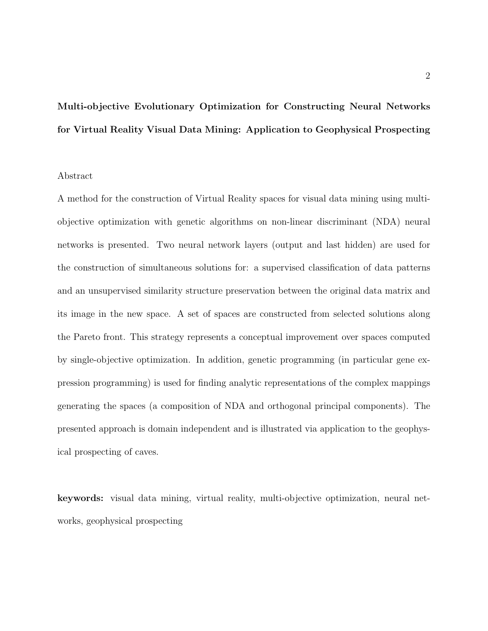# Multi-objective Evolutionary Optimization for Constructing Neural Networks for Virtual Reality Visual Data Mining: Application to Geophysical Prospecting

#### Abstract

A method for the construction of Virtual Reality spaces for visual data mining using multiobjective optimization with genetic algorithms on non-linear discriminant (NDA) neural networks is presented. Two neural network layers (output and last hidden) are used for the construction of simultaneous solutions for: a supervised classification of data patterns and an unsupervised similarity structure preservation between the original data matrix and its image in the new space. A set of spaces are constructed from selected solutions along the Pareto front. This strategy represents a conceptual improvement over spaces computed by single-objective optimization. In addition, genetic programming (in particular gene expression programming) is used for finding analytic representations of the complex mappings generating the spaces (a composition of NDA and orthogonal principal components). The presented approach is domain independent and is illustrated via application to the geophysical prospecting of caves.

keywords: visual data mining, virtual reality, multi-objective optimization, neural networks, geophysical prospecting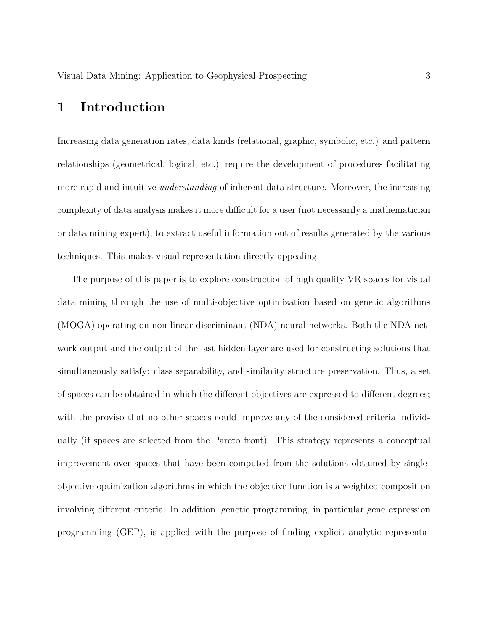### 1 Introduction

Increasing data generation rates, data kinds (relational, graphic, symbolic, etc.) and pattern relationships (geometrical, logical, etc.) require the development of procedures facilitating more rapid and intuitive *understanding* of inherent data structure. Moreover, the increasing complexity of data analysis makes it more difficult for a user (not necessarily a mathematician or data mining expert), to extract useful information out of results generated by the various techniques. This makes visual representation directly appealing.

The purpose of this paper is to explore construction of high quality VR spaces for visual data mining through the use of multi-objective optimization based on genetic algorithms (MOGA) operating on non-linear discriminant (NDA) neural networks. Both the NDA network output and the output of the last hidden layer are used for constructing solutions that simultaneously satisfy: class separability, and similarity structure preservation. Thus, a set of spaces can be obtained in which the different objectives are expressed to different degrees; with the proviso that no other spaces could improve any of the considered criteria individually (if spaces are selected from the Pareto front). This strategy represents a conceptual improvement over spaces that have been computed from the solutions obtained by singleobjective optimization algorithms in which the objective function is a weighted composition involving different criteria. In addition, genetic programming, in particular gene expression programming (GEP), is applied with the purpose of finding explicit analytic representa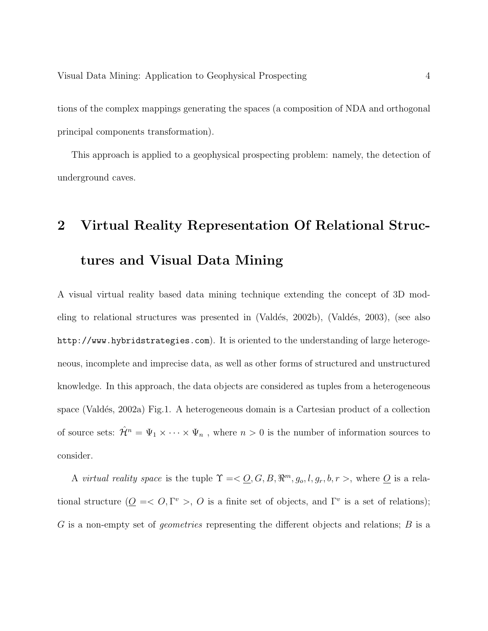tions of the complex mappings generating the spaces (a composition of NDA and orthogonal principal components transformation).

This approach is applied to a geophysical prospecting problem: namely, the detection of underground caves.

# 2 Virtual Reality Representation Of Relational Structures and Visual Data Mining

A visual virtual reality based data mining technique extending the concept of 3D modeling to relational structures was presented in  $(Vald\acute{e}s, 2002b)$ ,  $(Vald\acute{e}s, 2003)$ , (see also http://www.hybridstrategies.com). It is oriented to the understanding of large heterogeneous, incomplete and imprecise data, as well as other forms of structured and unstructured knowledge. In this approach, the data objects are considered as tuples from a heterogeneous space (Valdés, 2002a) Fig.1. A heterogeneous domain is a Cartesian product of a collection of source sets:  $\hat{\mathcal{H}}^n = \Psi_1 \times \cdots \times \Psi_n$ , where  $n > 0$  is the number of information sources to consider.

A *virtual reality space* is the tuple  $\Upsilon = \langle Q, G, B, \mathbb{R}^m, g_o, l, g_r, b, r \rangle$ , where  $\overline{Q}$  is a relational structure  $(Q \leq C, \Gamma^v > C)$  is a finite set of objects, and  $\Gamma^v$  is a set of relations); G is a non-empty set of *geometries* representing the different objects and relations; B is a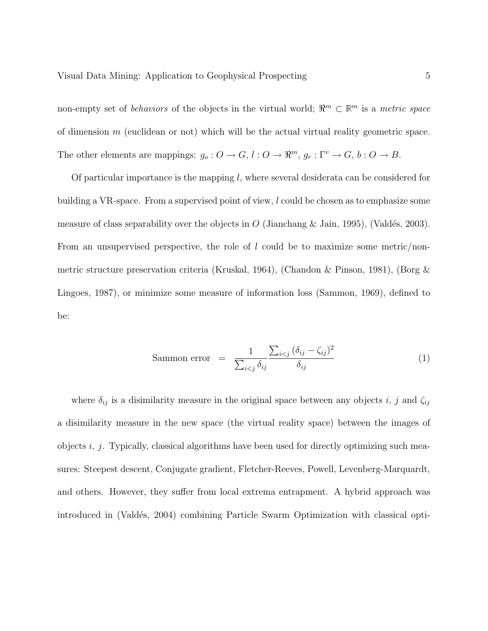non-empty set of *behaviors* of the objects in the virtual world;  $\mathbb{R}^m \subset \mathbb{R}^m$  is a *metric space* of dimension  $m$  (euclidean or not) which will be the actual virtual reality geometric space. The other elements are mappings:  $g_o: O \to G$ ,  $l: O \to \mathbb{R}^m$ ,  $g_r: \Gamma^v \to G$ ,  $b: O \to B$ .

Of particular importance is the mapping l, where several desiderata can be considered for building a VR-space. From a supervised point of view, l could be chosen as to emphasize some measure of class separability over the objects in O (Jianchang & Jain, 1995), (Valdés, 2003). From an unsupervised perspective, the role of  $l$  could be to maximize some metric/nonmetric structure preservation criteria (Kruskal, 1964), (Chandon & Pinson, 1981), (Borg & Lingoes, 1987), or minimize some measure of information loss (Sammon, 1969), defined to be:

$$
\text{Sammon error} = \frac{1}{\sum_{i < j} \delta_{ij}} \frac{\sum_{i < j} (\delta_{ij} - \zeta_{ij})^2}{\delta_{ij}} \tag{1}
$$

where  $\delta_{ij}$  is a disimilarity measure in the original space between any objects i, j and  $\zeta_{ij}$ a disimilarity measure in the new space (the virtual reality space) between the images of objects  $i, j$ . Typically, classical algorithms have been used for directly optimizing such measures: Steepest descent, Conjugate gradient, Fletcher-Reeves, Powell, Levenberg-Marquardt, and others. However, they suffer from local extrema entrapment. A hybrid approach was introduced in (Valdés, 2004) combining Particle Swarm Optimization with classical opti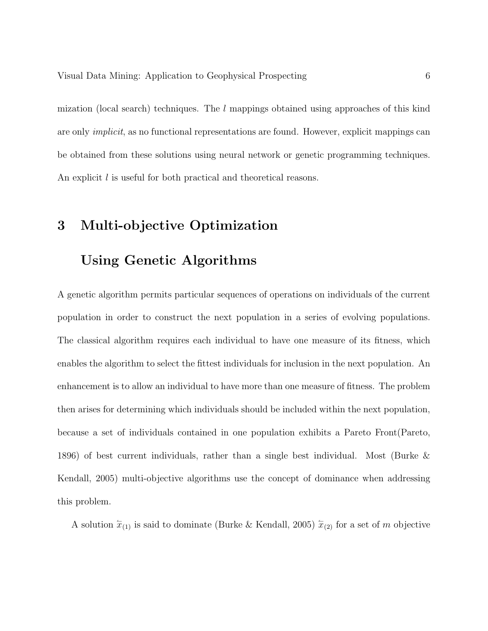mization (local search) techniques. The l mappings obtained using approaches of this kind are only *implicit*, as no functional representations are found. However, explicit mappings can be obtained from these solutions using neural network or genetic programming techniques. An explicit l is useful for both practical and theoretical reasons.

# 3 Multi-objective Optimization

## Using Genetic Algorithms

A genetic algorithm permits particular sequences of operations on individuals of the current population in order to construct the next population in a series of evolving populations. The classical algorithm requires each individual to have one measure of its fitness, which enables the algorithm to select the fittest individuals for inclusion in the next population. An enhancement is to allow an individual to have more than one measure of fitness. The problem then arises for determining which individuals should be included within the next population, because a set of individuals contained in one population exhibits a Pareto Front(Pareto, 1896) of best current individuals, rather than a single best individual. Most (Burke & Kendall, 2005) multi-objective algorithms use the concept of dominance when addressing this problem.

A solution  $\hat{x}_{(1)}$  is said to dominate (Burke & Kendall, 2005)  $\hat{x}_{(2)}$  for a set of m objective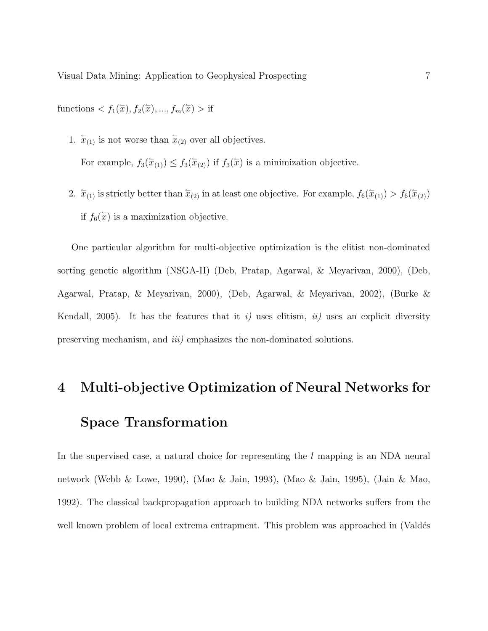functions  $\langle f_1(\overline{x}), f_2(\overline{x}), ..., f_m(\overline{x}) \rangle$  if

1.  $\overline{x}_{(1)}$  is not worse than  $\overline{x}_{(2)}$  over all objectives.

For example,  $f_3(\overline{x}_{(1)}) \leq f_3(\overline{x}_{(2)})$  if  $f_3(\overline{x})$  is a minimization objective.

2.  $\bar{x}_{(1)}$  is strictly better than  $\bar{x}_{(2)}$  in at least one objective. For example,  $f_6(\bar{x}_{(1)}) > f_6(\bar{x}_{(2)})$ if  $f_6(\overline{x})$  is a maximization objective.

One particular algorithm for multi-objective optimization is the elitist non-dominated sorting genetic algorithm (NSGA-II) (Deb, Pratap, Agarwal, & Meyarivan, 2000), (Deb, Agarwal, Pratap, & Meyarivan, 2000), (Deb, Agarwal, & Meyarivan, 2002), (Burke & Kendall, 2005). It has the features that it *i*) uses elitism, *ii*) uses an explicit diversity preserving mechanism, and *iii)* emphasizes the non-dominated solutions.

# 4 Multi-objective Optimization of Neural Networks for Space Transformation

In the supervised case, a natural choice for representing the l mapping is an NDA neural network (Webb & Lowe, 1990), (Mao & Jain, 1993), (Mao & Jain, 1995), (Jain & Mao, 1992). The classical backpropagation approach to building NDA networks suffers from the well known problem of local extrema entrapment. This problem was approached in (Valdés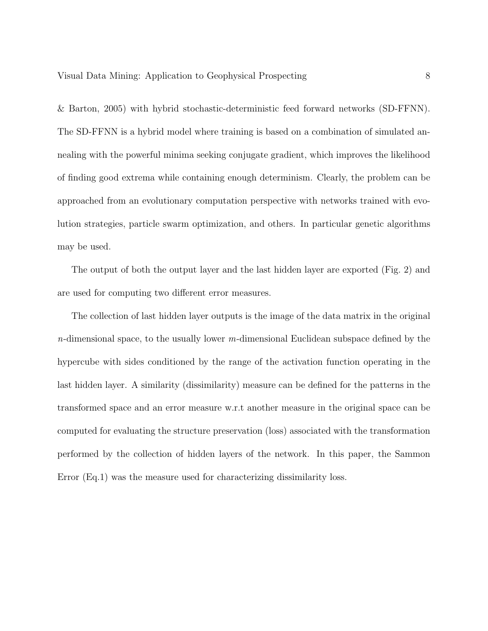& Barton, 2005) with hybrid stochastic-deterministic feed forward networks (SD-FFNN). The SD-FFNN is a hybrid model where training is based on a combination of simulated annealing with the powerful minima seeking conjugate gradient, which improves the likelihood of finding good extrema while containing enough determinism. Clearly, the problem can be approached from an evolutionary computation perspective with networks trained with evolution strategies, particle swarm optimization, and others. In particular genetic algorithms may be used.

The output of both the output layer and the last hidden layer are exported (Fig. 2) and are used for computing two different error measures.

The collection of last hidden layer outputs is the image of the data matrix in the original *n*-dimensional space, to the usually lower *m*-dimensional Euclidean subspace defined by the hypercube with sides conditioned by the range of the activation function operating in the last hidden layer. A similarity (dissimilarity) measure can be defined for the patterns in the transformed space and an error measure w.r.t another measure in the original space can be computed for evaluating the structure preservation (loss) associated with the transformation performed by the collection of hidden layers of the network. In this paper, the Sammon Error (Eq.1) was the measure used for characterizing dissimilarity loss.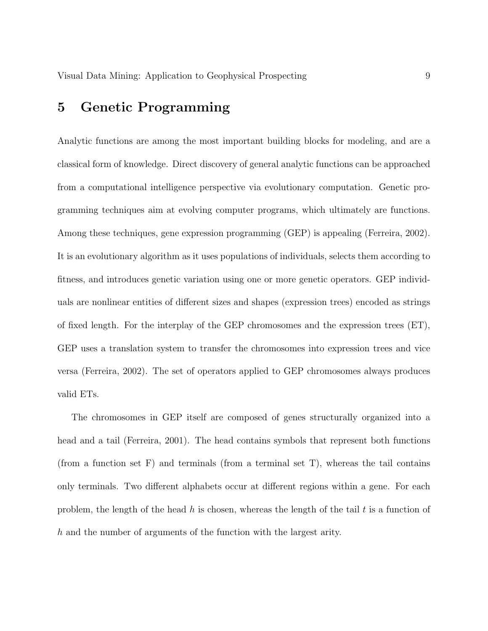## 5 Genetic Programming

Analytic functions are among the most important building blocks for modeling, and are a classical form of knowledge. Direct discovery of general analytic functions can be approached from a computational intelligence perspective via evolutionary computation. Genetic programming techniques aim at evolving computer programs, which ultimately are functions. Among these techniques, gene expression programming (GEP) is appealing (Ferreira, 2002). It is an evolutionary algorithm as it uses populations of individuals, selects them according to fitness, and introduces genetic variation using one or more genetic operators. GEP individuals are nonlinear entities of different sizes and shapes (expression trees) encoded as strings of fixed length. For the interplay of the GEP chromosomes and the expression trees (ET), GEP uses a translation system to transfer the chromosomes into expression trees and vice versa (Ferreira, 2002). The set of operators applied to GEP chromosomes always produces valid ETs.

The chromosomes in GEP itself are composed of genes structurally organized into a head and a tail (Ferreira, 2001). The head contains symbols that represent both functions (from a function set  $F$ ) and terminals (from a terminal set  $T$ ), whereas the tail contains only terminals. Two different alphabets occur at different regions within a gene. For each problem, the length of the head h is chosen, whereas the length of the tail t is a function of h and the number of arguments of the function with the largest arity.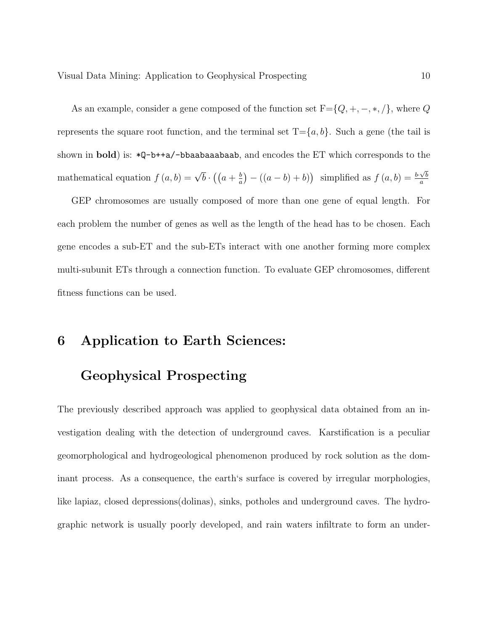As an example, consider a gene composed of the function set  $F = \{Q, +, -, *, /\}$ , where  $Q$ represents the square root function, and the terminal set  $T = \{a, b\}$ . Such a gene (the tail is shown in **bold**) is:  $*Q-b++a/-bbaabaabaab$ , and encodes the ET which corresponds to the mathematical equation  $f(a,b) = \sqrt{b} \cdot ((a + \frac{b}{a}))$  $\frac{b}{a}$ ) –  $((a - b) + b)$  simplified as  $f(a, b) = \frac{b \cdot \sqrt{b}}{a}$ a

GEP chromosomes are usually composed of more than one gene of equal length. For each problem the number of genes as well as the length of the head has to be chosen. Each gene encodes a sub-ET and the sub-ETs interact with one another forming more complex multi-subunit ETs through a connection function. To evaluate GEP chromosomes, different fitness functions can be used.

### 6 Application to Earth Sciences:

### Geophysical Prospecting

The previously described approach was applied to geophysical data obtained from an investigation dealing with the detection of underground caves. Karstification is a peculiar geomorphological and hydrogeological phenomenon produced by rock solution as the dominant process. As a consequence, the earth's surface is covered by irregular morphologies, like lapiaz, closed depressions(dolinas), sinks, potholes and underground caves. The hydrographic network is usually poorly developed, and rain waters infiltrate to form an under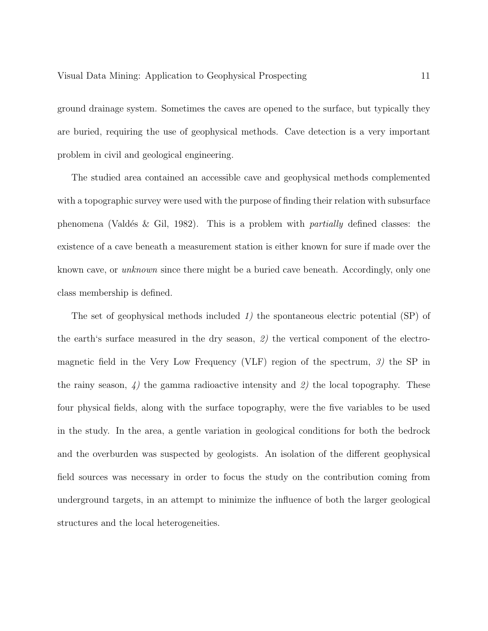ground drainage system. Sometimes the caves are opened to the surface, but typically they are buried, requiring the use of geophysical methods. Cave detection is a very important problem in civil and geological engineering.

The studied area contained an accessible cave and geophysical methods complemented with a topographic survey were used with the purpose of finding their relation with subsurface phenomena (Vald´es & Gil, 1982). This is a problem with *partially* defined classes: the existence of a cave beneath a measurement station is either known for sure if made over the known cave, or *unknown* since there might be a buried cave beneath. Accordingly, only one class membership is defined.

The set of geophysical methods included *1)* the spontaneous electric potential (SP) of the earth's surface measured in the dry season, *2)* the vertical component of the electromagnetic field in the Very Low Frequency (VLF) region of the spectrum, *3)* the SP in the rainy season, *4)* the gamma radioactive intensity and *2)* the local topography. These four physical fields, along with the surface topography, were the five variables to be used in the study. In the area, a gentle variation in geological conditions for both the bedrock and the overburden was suspected by geologists. An isolation of the different geophysical field sources was necessary in order to focus the study on the contribution coming from underground targets, in an attempt to minimize the influence of both the larger geological structures and the local heterogeneities.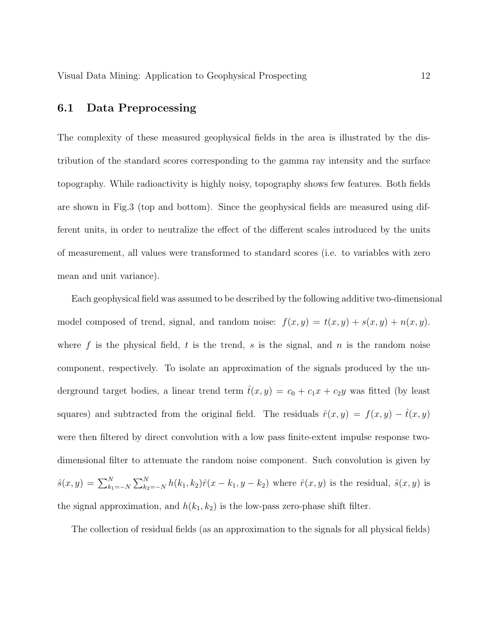### 6.1 Data Preprocessing

The complexity of these measured geophysical fields in the area is illustrated by the distribution of the standard scores corresponding to the gamma ray intensity and the surface topography. While radioactivity is highly noisy, topography shows few features. Both fields are shown in Fig.3 (top and bottom). Since the geophysical fields are measured using different units, in order to neutralize the effect of the different scales introduced by the units of measurement, all values were transformed to standard scores (i.e. to variables with zero mean and unit variance).

Each geophysical field was assumed to be described by the following additive two-dimensional model composed of trend, signal, and random noise:  $f(x,y) = t(x,y) + s(x,y) + n(x,y)$ . where f is the physical field, t is the trend, s is the signal, and n is the random noise component, respectively. To isolate an approximation of the signals produced by the underground target bodies, a linear trend term  $\hat{t}(x,y) = c_0 + c_1x + c_2y$  was fitted (by least squares) and subtracted from the original field. The residuals  $\hat{r}(x,y) = f(x,y) - \hat{t}(x,y)$ were then filtered by direct convolution with a low pass finite-extent impulse response twodimensional filter to attenuate the random noise component. Such convolution is given by  $\hat{s}(x, y) = \sum_{k_1 = -N}^{N}$  $\nabla^N$  $\lim_{k_2=-N} h(k_1, k_2)\hat{r}(x - k_1, y - k_2)$  where  $\hat{r}(x, y)$  is the residual,  $\hat{s}(x, y)$  is the signal approximation, and  $h(k_1, k_2)$  is the low-pass zero-phase shift filter.

The collection of residual fields (as an approximation to the signals for all physical fields)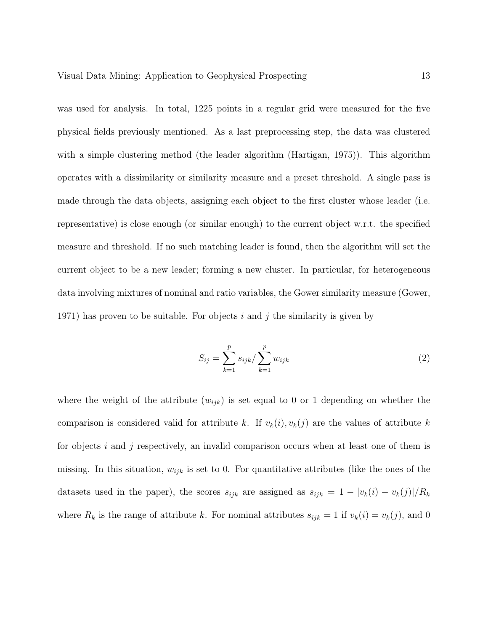was used for analysis. In total, 1225 points in a regular grid were measured for the five physical fields previously mentioned. As a last preprocessing step, the data was clustered with a simple clustering method (the leader algorithm (Hartigan, 1975)). This algorithm operates with a dissimilarity or similarity measure and a preset threshold. A single pass is made through the data objects, assigning each object to the first cluster whose leader (i.e. representative) is close enough (or similar enough) to the current object w.r.t. the specified measure and threshold. If no such matching leader is found, then the algorithm will set the current object to be a new leader; forming a new cluster. In particular, for heterogeneous data involving mixtures of nominal and ratio variables, the Gower similarity measure (Gower, 1971) has proven to be suitable. For objects i and j the similarity is given by

$$
S_{ij} = \sum_{k=1}^{p} s_{ijk} / \sum_{k=1}^{p} w_{ijk}
$$
 (2)

where the weight of the attribute  $(w_{ijk})$  is set equal to 0 or 1 depending on whether the comparison is considered valid for attribute k. If  $v_k(i), v_k(j)$  are the values of attribute k for objects  $i$  and  $j$  respectively, an invalid comparison occurs when at least one of them is missing. In this situation,  $w_{ijk}$  is set to 0. For quantitative attributes (like the ones of the datasets used in the paper), the scores  $s_{ijk}$  are assigned as  $s_{ijk} = 1 - |v_k(i) - v_k(j)|/R_k$ where  $R_k$  is the range of attribute k. For nominal attributes  $s_{ijk} = 1$  if  $v_k(i) = v_k(j)$ , and 0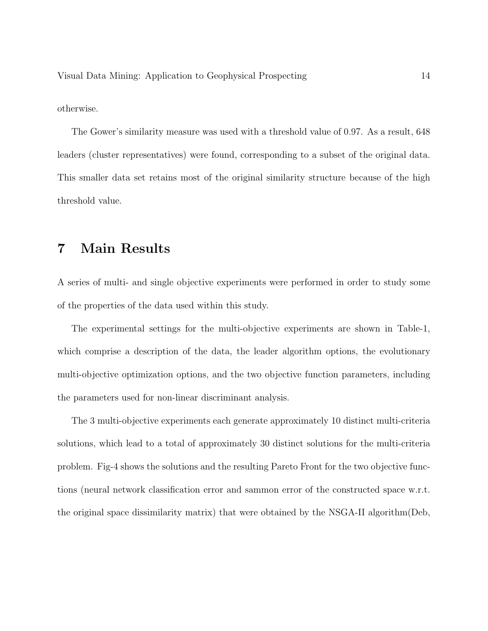otherwise.

The Gower's similarity measure was used with a threshold value of 0.97. As a result, 648 leaders (cluster representatives) were found, corresponding to a subset of the original data. This smaller data set retains most of the original similarity structure because of the high threshold value.

## 7 Main Results

A series of multi- and single objective experiments were performed in order to study some of the properties of the data used within this study.

The experimental settings for the multi-objective experiments are shown in Table-1, which comprise a description of the data, the leader algorithm options, the evolutionary multi-objective optimization options, and the two objective function parameters, including the parameters used for non-linear discriminant analysis.

The 3 multi-objective experiments each generate approximately 10 distinct multi-criteria solutions, which lead to a total of approximately 30 distinct solutions for the multi-criteria problem. Fig-4 shows the solutions and the resulting Pareto Front for the two objective functions (neural network classification error and sammon error of the constructed space w.r.t. the original space dissimilarity matrix) that were obtained by the NSGA-II algorithm(Deb,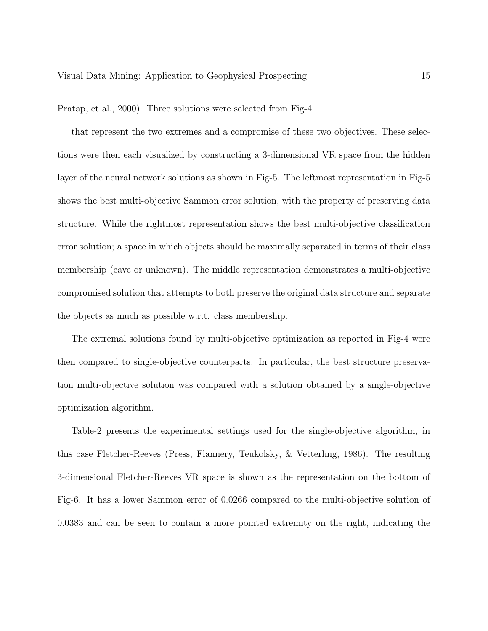Pratap, et al., 2000). Three solutions were selected from Fig-4

that represent the two extremes and a compromise of these two objectives. These selections were then each visualized by constructing a 3-dimensional VR space from the hidden layer of the neural network solutions as shown in Fig-5. The leftmost representation in Fig-5 shows the best multi-objective Sammon error solution, with the property of preserving data structure. While the rightmost representation shows the best multi-objective classification error solution; a space in which objects should be maximally separated in terms of their class membership (cave or unknown). The middle representation demonstrates a multi-objective compromised solution that attempts to both preserve the original data structure and separate the objects as much as possible w.r.t. class membership.

The extremal solutions found by multi-objective optimization as reported in Fig-4 were then compared to single-objective counterparts. In particular, the best structure preservation multi-objective solution was compared with a solution obtained by a single-objective optimization algorithm.

Table-2 presents the experimental settings used for the single-objective algorithm, in this case Fletcher-Reeves (Press, Flannery, Teukolsky, & Vetterling, 1986). The resulting 3-dimensional Fletcher-Reeves VR space is shown as the representation on the bottom of Fig-6. It has a lower Sammon error of 0.0266 compared to the multi-objective solution of 0.0383 and can be seen to contain a more pointed extremity on the right, indicating the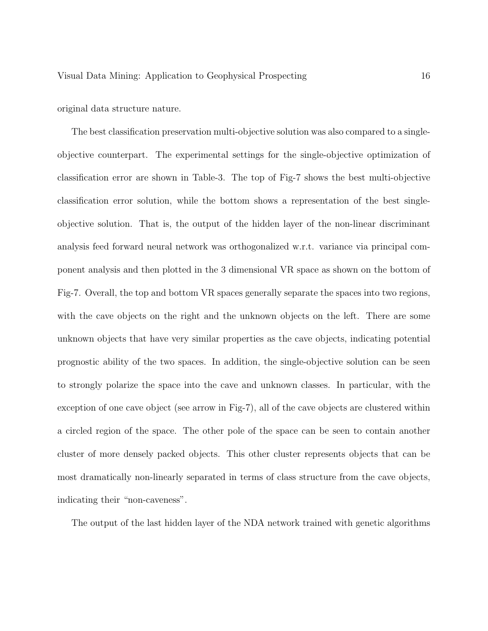original data structure nature.

The best classification preservation multi-objective solution was also compared to a singleobjective counterpart. The experimental settings for the single-objective optimization of classification error are shown in Table-3. The top of Fig-7 shows the best multi-objective classification error solution, while the bottom shows a representation of the best singleobjective solution. That is, the output of the hidden layer of the non-linear discriminant analysis feed forward neural network was orthogonalized w.r.t. variance via principal component analysis and then plotted in the 3 dimensional VR space as shown on the bottom of Fig-7. Overall, the top and bottom VR spaces generally separate the spaces into two regions, with the cave objects on the right and the unknown objects on the left. There are some unknown objects that have very similar properties as the cave objects, indicating potential prognostic ability of the two spaces. In addition, the single-objective solution can be seen to strongly polarize the space into the cave and unknown classes. In particular, with the exception of one cave object (see arrow in Fig-7), all of the cave objects are clustered within a circled region of the space. The other pole of the space can be seen to contain another cluster of more densely packed objects. This other cluster represents objects that can be most dramatically non-linearly separated in terms of class structure from the cave objects, indicating their "non-caveness".

The output of the last hidden layer of the NDA network trained with genetic algorithms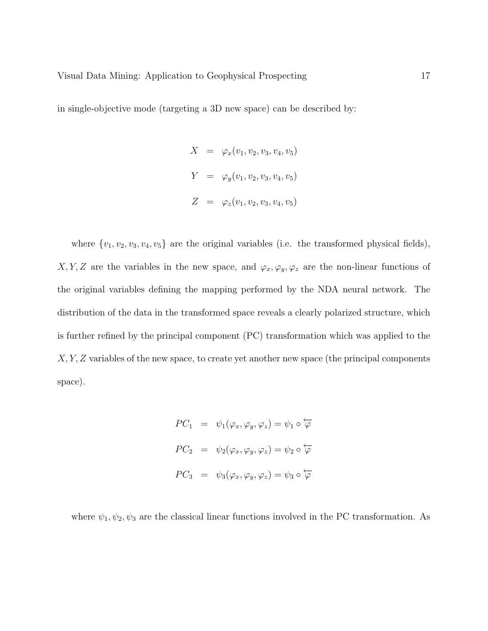in single-objective mode (targeting a 3D new space) can be described by:

$$
X = \varphi_x(v_1, v_2, v_3, v_4, v_5)
$$
  

$$
Y = \varphi_y(v_1, v_2, v_3, v_4, v_5)
$$
  

$$
Z = \varphi_z(v_1, v_2, v_3, v_4, v_5)
$$

where  $\{v_1, v_2, v_3, v_4, v_5\}$  are the original variables (i.e. the transformed physical fields), X, Y, Z are the variables in the new space, and  $\varphi_x, \varphi_y, \varphi_z$  are the non-linear functions of the original variables defining the mapping performed by the NDA neural network. The distribution of the data in the transformed space reveals a clearly polarized structure, which is further refined by the principal component (PC) transformation which was applied to the  $X, Y, Z$  variables of the new space, to create yet another new space (the principal components space).

$$
PC_1 = \psi_1(\varphi_x, \varphi_y, \varphi_z) = \psi_1 \circ \varphi
$$
  

$$
PC_2 = \psi_2(\varphi_x, \varphi_y, \varphi_z) = \psi_2 \circ \varphi
$$
  

$$
PC_3 = \psi_3(\varphi_x, \varphi_y, \varphi_z) = \psi_3 \circ \varphi
$$

where  $\psi_1, \psi_2, \psi_3$  are the classical linear functions involved in the PC transformation. As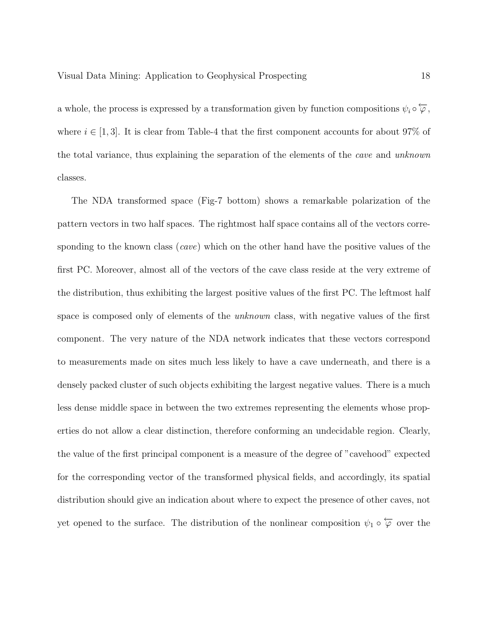a whole, the process is expressed by a transformation given by function compositions  $\psi_i \circ \varphi$ , where  $i \in [1,3]$ . It is clear from Table-4 that the first component accounts for about 97% of the total variance, thus explaining the separation of the elements of the *cave* and *unknown* classes.

The NDA transformed space (Fig-7 bottom) shows a remarkable polarization of the pattern vectors in two half spaces. The rightmost half space contains all of the vectors corresponding to the known class (*cave*) which on the other hand have the positive values of the first PC. Moreover, almost all of the vectors of the cave class reside at the very extreme of the distribution, thus exhibiting the largest positive values of the first PC. The leftmost half space is composed only of elements of the *unknown* class, with negative values of the first component. The very nature of the NDA network indicates that these vectors correspond to measurements made on sites much less likely to have a cave underneath, and there is a densely packed cluster of such objects exhibiting the largest negative values. There is a much less dense middle space in between the two extremes representing the elements whose properties do not allow a clear distinction, therefore conforming an undecidable region. Clearly, the value of the first principal component is a measure of the degree of "cavehood" expected for the corresponding vector of the transformed physical fields, and accordingly, its spatial distribution should give an indication about where to expect the presence of other caves, not yet opened to the surface. The distribution of the nonlinear composition  $\psi_1 \circ \overleftarrow{\varphi}$  over the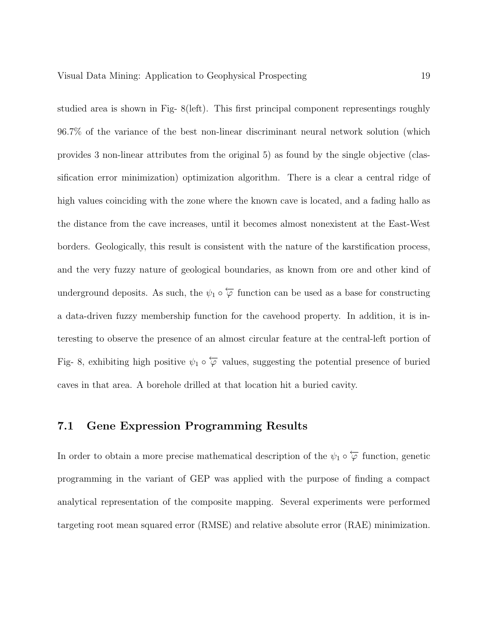studied area is shown in Fig- 8(left). This first principal component representings roughly 96.7% of the variance of the best non-linear discriminant neural network solution (which provides 3 non-linear attributes from the original 5) as found by the single objective (classification error minimization) optimization algorithm. There is a clear a central ridge of high values coinciding with the zone where the known cave is located, and a fading hallo as the distance from the cave increases, until it becomes almost nonexistent at the East-West borders. Geologically, this result is consistent with the nature of the karstification process, and the very fuzzy nature of geological boundaries, as known from ore and other kind of underground deposits. As such, the  $\psi_1 \circ \overleftarrow{\varphi}$  function can be used as a base for constructing a data-driven fuzzy membership function for the cavehood property. In addition, it is interesting to observe the presence of an almost circular feature at the central-left portion of Fig- 8, exhibiting high positive  $\psi_1 \circ \overleftarrow{\varphi}$  values, suggesting the potential presence of buried caves in that area. A borehole drilled at that location hit a buried cavity.

### 7.1 Gene Expression Programming Results

In order to obtain a more precise mathematical description of the  $\psi_1 \circ \overleftarrow{\varphi}$  function, genetic programming in the variant of GEP was applied with the purpose of finding a compact analytical representation of the composite mapping. Several experiments were performed targeting root mean squared error (RMSE) and relative absolute error (RAE) minimization.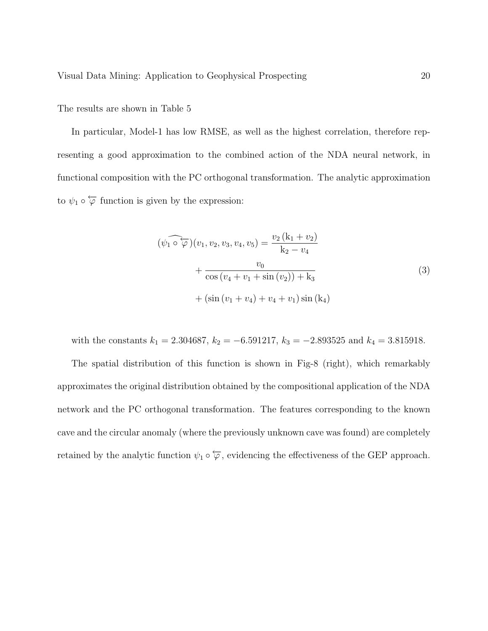The results are shown in Table 5

In particular, Model-1 has low RMSE, as well as the highest correlation, therefore representing a good approximation to the combined action of the NDA neural network, in functional composition with the PC orthogonal transformation. The analytic approximation to  $\psi_1 \circ \overleftarrow{\varphi}$  function is given by the expression:

$$
(\widehat{\psi_1 \circ \varphi})(v_1, v_2, v_3, v_4, v_5) = \frac{v_2(k_1 + v_2)}{k_2 - v_4} + \frac{v_0}{\cos(v_4 + v_1 + \sin(v_2)) + k_3} + (\sin(v_1 + v_4) + v_4 + v_1)\sin(k_4)
$$
\n(3)

with the constants  $k_1 = 2.304687$ ,  $k_2 = -6.591217$ ,  $k_3 = -2.893525$  and  $k_4 = 3.815918$ . The spatial distribution of this function is shown in Fig-8 (right), which remarkably approximates the original distribution obtained by the compositional application of the NDA network and the PC orthogonal transformation. The features corresponding to the known cave and the circular anomaly (where the previously unknown cave was found) are completely retained by the analytic function  $\psi_1 \circ \overleftarrow{\varphi}$ , evidencing the effectiveness of the GEP approach.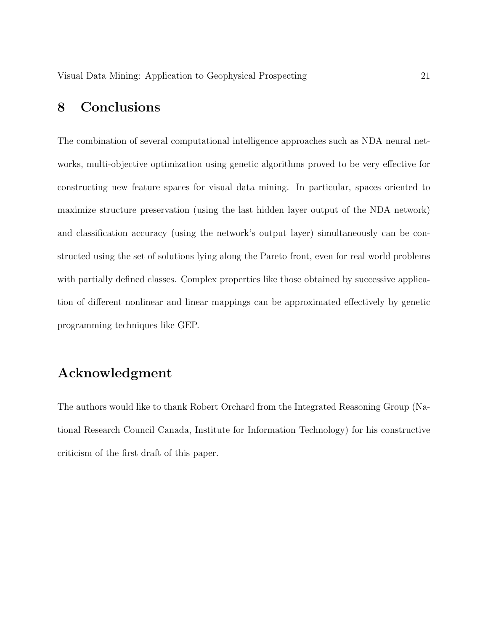## 8 Conclusions

The combination of several computational intelligence approaches such as NDA neural networks, multi-objective optimization using genetic algorithms proved to be very effective for constructing new feature spaces for visual data mining. In particular, spaces oriented to maximize structure preservation (using the last hidden layer output of the NDA network) and classification accuracy (using the network's output layer) simultaneously can be constructed using the set of solutions lying along the Pareto front, even for real world problems with partially defined classes. Complex properties like those obtained by successive application of different nonlinear and linear mappings can be approximated effectively by genetic programming techniques like GEP.

# Acknowledgment

The authors would like to thank Robert Orchard from the Integrated Reasoning Group (National Research Council Canada, Institute for Information Technology) for his constructive criticism of the first draft of this paper.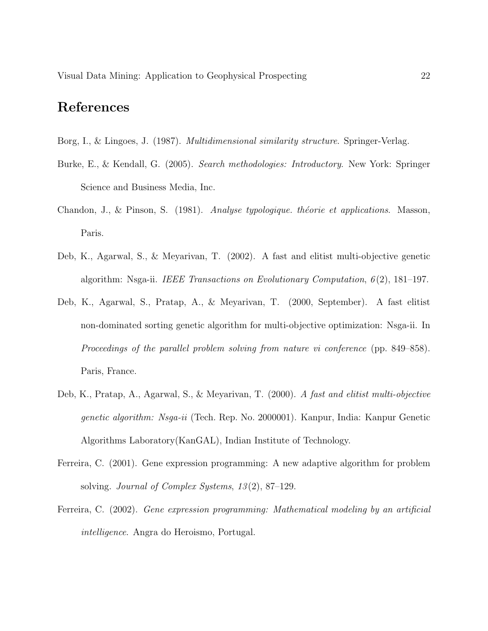### References

- Borg, I., & Lingoes, J. (1987). *Multidimensional similarity structure*. Springer-Verlag.
- Burke, E., & Kendall, G. (2005). *Search methodologies: Introductory*. New York: Springer Science and Business Media, Inc.
- Chandon, J., & Pinson, S. (1981). *Analyse typologique. théorie et applications*. Masson, Paris.
- Deb, K., Agarwal, S., & Meyarivan, T. (2002). A fast and elitist multi-objective genetic algorithm: Nsga-ii. *IEEE Transactions on Evolutionary Computation*, *6* (2), 181–197.
- Deb, K., Agarwal, S., Pratap, A., & Meyarivan, T. (2000, September). A fast elitist non-dominated sorting genetic algorithm for multi-objective optimization: Nsga-ii. In *Proceedings of the parallel problem solving from nature vi conference* (pp. 849–858). Paris, France.
- Deb, K., Pratap, A., Agarwal, S., & Meyarivan, T. (2000). *A fast and elitist multi-objective genetic algorithm: Nsga-ii* (Tech. Rep. No. 2000001). Kanpur, India: Kanpur Genetic Algorithms Laboratory(KanGAL), Indian Institute of Technology.
- Ferreira, C. (2001). Gene expression programming: A new adaptive algorithm for problem solving. *Journal of Complex Systems*, *13* (2), 87–129.
- Ferreira, C. (2002). *Gene expression programming: Mathematical modeling by an artificial intelligence*. Angra do Heroismo, Portugal.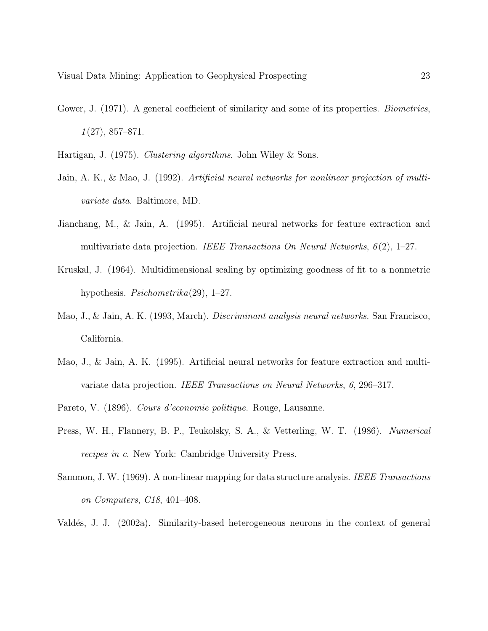- Gower, J. (1971). A general coefficient of similarity and some of its properties. *Biometrics*, *1* (27), 857–871.
- Hartigan, J. (1975). *Clustering algorithms*. John Wiley & Sons.
- Jain, A. K., & Mao, J. (1992). *Artificial neural networks for nonlinear projection of multivariate data.* Baltimore, MD.
- Jianchang, M., & Jain, A. (1995). Artificial neural networks for feature extraction and multivariate data projection. *IEEE Transactions On Neural Networks*, *6* (2), 1–27.
- Kruskal, J. (1964). Multidimensional scaling by optimizing goodness of fit to a nonmetric hypothesis. *Psichometrika*(29), 1–27.
- Mao, J., & Jain, A. K. (1993, March). *Discriminant analysis neural networks.* San Francisco, California.
- Mao, J., & Jain, A. K. (1995). Artificial neural networks for feature extraction and multivariate data projection. *IEEE Transactions on Neural Networks*, *6*, 296–317.
- Pareto, V. (1896). *Cours d'economie politique.* Rouge, Lausanne.
- Press, W. H., Flannery, B. P., Teukolsky, S. A., & Vetterling, W. T. (1986). *Numerical recipes in c*. New York: Cambridge University Press.
- Sammon, J. W. (1969). A non-linear mapping for data structure analysis. *IEEE Transactions on Computers*, *C18*, 401–408.
- Vald´es, J. J. (2002a). Similarity-based heterogeneous neurons in the context of general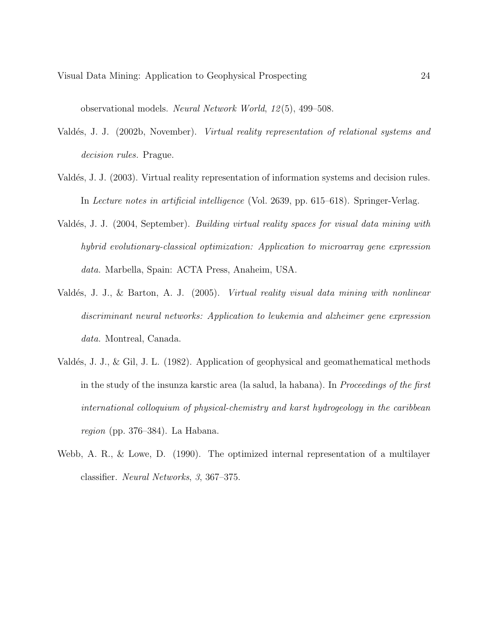observational models. *Neural Network World*, *12* (5), 499–508.

- Vald´es, J. J. (2002b, November). *Virtual reality representation of relational systems and decision rules.* Prague.
- Valdés, J. J. (2003). Virtual reality representation of information systems and decision rules. In *Lecture notes in artificial intelligence* (Vol. 2639, pp. 615–618). Springer-Verlag.
- Vald´es, J. J. (2004, September). *Building virtual reality spaces for visual data mining with hybrid evolutionary-classical optimization: Application to microarray gene expression data.* Marbella, Spain: ACTA Press, Anaheim, USA.
- Vald´es, J. J., & Barton, A. J. (2005). *Virtual reality visual data mining with nonlinear discriminant neural networks: Application to leukemia and alzheimer gene expression data.* Montreal, Canada.
- Valdés, J. J., & Gil, J. L. (1982). Application of geophysical and geomathematical methods in the study of the insunza karstic area (la salud, la habana). In *Proceedings of the first international colloquium of physical-chemistry and karst hydrogeology in the caribbean region* (pp. 376–384). La Habana.
- Webb, A. R., & Lowe, D. (1990). The optimized internal representation of a multilayer classifier. *Neural Networks*, *3*, 367–375.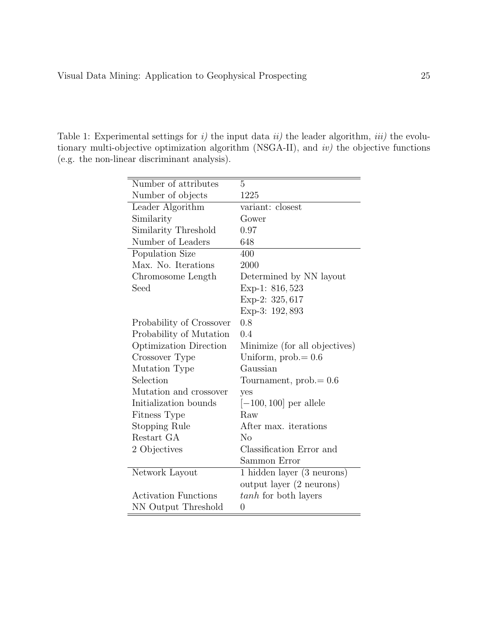Table 1: Experimental settings for *i)* the input data *ii)* the leader algorithm, *iii)* the evolutionary multi-objective optimization algorithm (NSGA-II), and *iv)* the objective functions (e.g. the non-linear discriminant analysis).

| Number of attributes        | 5                             |
|-----------------------------|-------------------------------|
| Number of objects           | 1225                          |
| Leader Algorithm            | variant: closest              |
| Similarity                  | Gower                         |
| Similarity Threshold        | 0.97                          |
| Number of Leaders           | 648                           |
| Population Size             | 400                           |
| Max. No. Iterations         | 2000                          |
| Chromosome Length           | Determined by NN layout       |
| Seed                        | Exp-1: 816, 523               |
|                             | Exp-2: 325, 617               |
|                             | Exp-3: 192, 893               |
| Probability of Crossover    | 0.8                           |
| Probability of Mutation     | 0.4                           |
| Optimization Direction      | Minimize (for all objectives) |
| Crossover Type              | Uniform, $prob = 0.6$         |
| Mutation Type               | Gaussian                      |
| Selection                   | Tournament, $prob = 0.6$      |
| Mutation and crossover      | yes                           |
| Initialization bounds       | $[-100, 100]$ per allele      |
| Fitness Type                | Raw                           |
| <b>Stopping Rule</b>        | After max. iterations         |
| Restart GA                  | No                            |
| 2 Objectives                | Classification Error and      |
|                             | Sammon Error                  |
| Network Layout              | 1 hidden layer (3 neurons)    |
|                             | output layer (2 neurons)      |
| <b>Activation Functions</b> | tanh for both layers          |
| NN Output Threshold         | 0                             |
|                             |                               |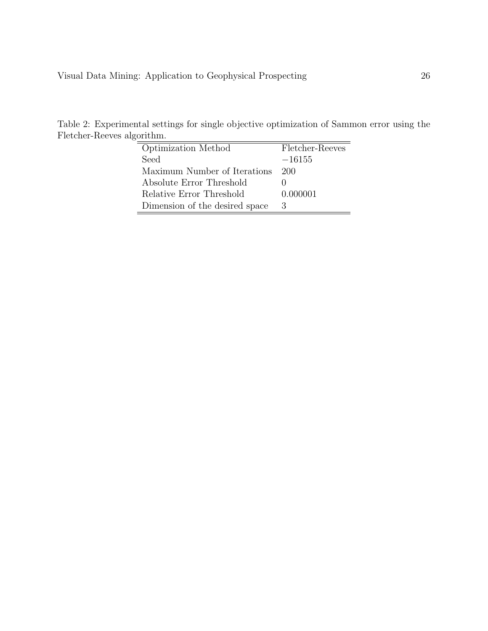Table 2: Experimental settings for single objective optimization of Sammon error using the Fletcher-Reeves algorithm.

| Optimization Method            | Fletcher-Reeves |
|--------------------------------|-----------------|
| Seed                           | $-16155$        |
| Maximum Number of Iterations   | 200             |
| Absolute Error Threshold       |                 |
| Relative Error Threshold       | 0.000001        |
| Dimension of the desired space | 3               |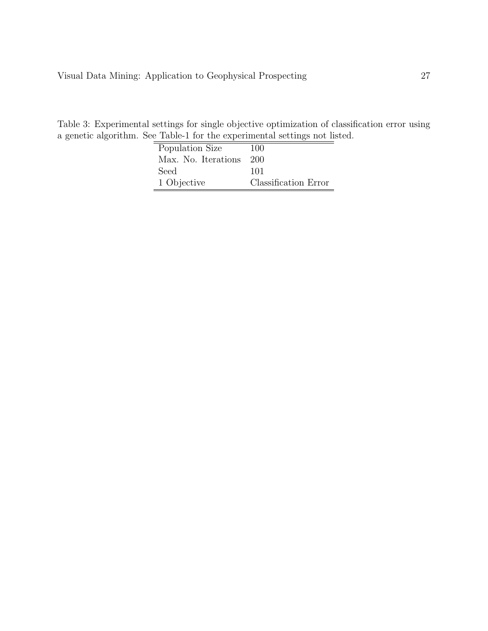Table 3: Experimental settings for single objective optimization of classification error using a genetic algorithm. See Table-1 for the experimental settings not listed.

| Population Size     | 100                  |
|---------------------|----------------------|
| Max. No. Iterations | 200                  |
| Seed                | 101                  |
| 1 Objective         | Classification Error |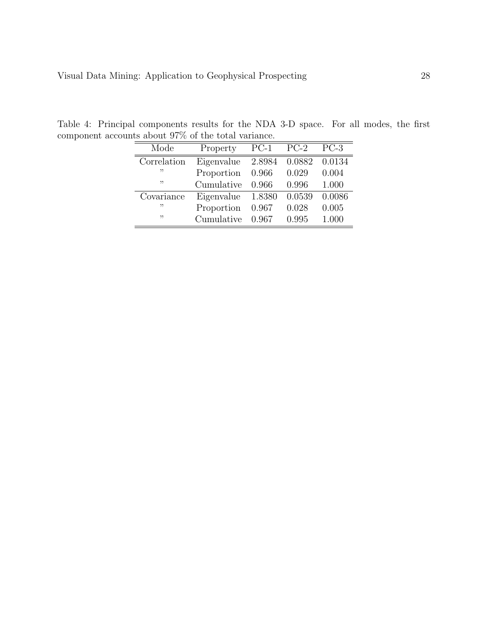| Mode        | Property          | $PC-1$ | $PC-2$ | $PC-3$ |
|-------------|-------------------|--------|--------|--------|
| Correlation | Eigenvalue        | 2.8984 | 0.0882 | 0.0134 |
| ,,          | Proportion        | 0.966  | 0.029  | 0.004  |
| ,,          | Cumulative        | 0.966  | 0.996  | 1.000  |
| Covariance  | Eigenvalue 1.8380 |        | 0.0539 | 0.0086 |
| יי          | Proportion        | 0.967  | 0.028  | 0.005  |
| ,,          | Cumulative        | 0.967  | 0.995  | 1.000  |

Table 4: Principal components results for the NDA 3-D space. For all modes, the first component accounts about  $97\%$  of the total variance.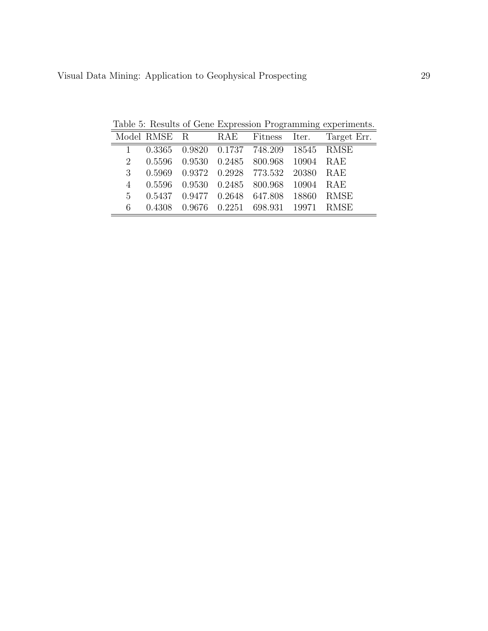Table 5: Results of Gene Expression Programming experiments.

|             |  |                                           | Model RMSE R RAE Fitness Iter. Target Err. |
|-------------|--|-------------------------------------------|--------------------------------------------|
|             |  | 1 0.3365 0.9820 0.1737 748.209 18545 RMSE |                                            |
|             |  | 2 0.5596 0.9530 0.2485 800.968 10904 RAE  |                                            |
|             |  | 3 0.5969 0.9372 0.2928 773.532 20380 RAE  |                                            |
|             |  | 4 0.5596 0.9530 0.2485 800.968 10904 RAE  |                                            |
| $5^{\circ}$ |  | 0.5437 0.9477 0.2648 647.808 18860 RMSE   |                                            |
| 6           |  | 0.4308 0.9676 0.2251 698.931 19971 RMSE   |                                            |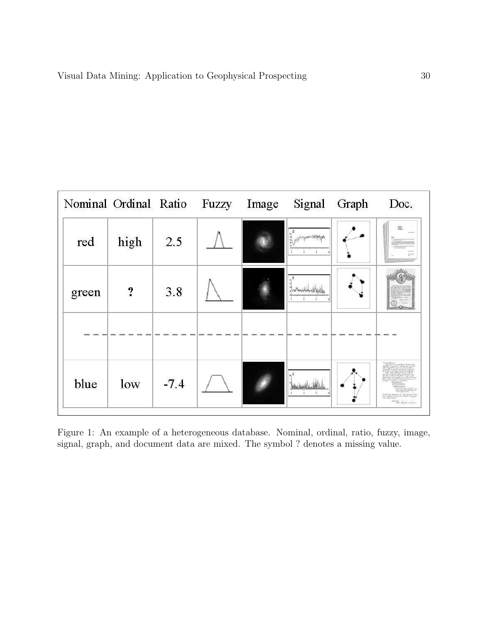| Nominal Ordinal Ratio |           |        | Fuzzy | Image | Signal | Graph | Doc. |
|-----------------------|-----------|--------|-------|-------|--------|-------|------|
| red                   | high      | 2.5    |       |       |        |       |      |
| green                 | $\cdot$ ? | 3.8    |       |       |        |       |      |
| blue                  | low       | $-7.4$ |       |       |        |       |      |

Figure 1: An example of a heterogeneous database. Nominal, ordinal, ratio, fuzzy, image, signal, graph, and document data are mixed. The symbol ? denotes a missing value.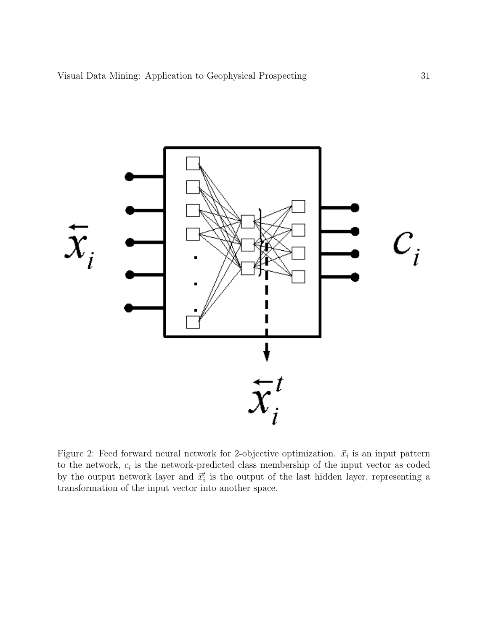

Figure 2: Feed forward neural network for 2-objective optimization.  $\vec{x}_i$  is an input pattern to the network,  $c_i$  is the network-predicted class membership of the input vector as coded by the output network layer and  $\vec{x}_i^t$  is the output of the last hidden layer, representing a transformation of the input vector into another space.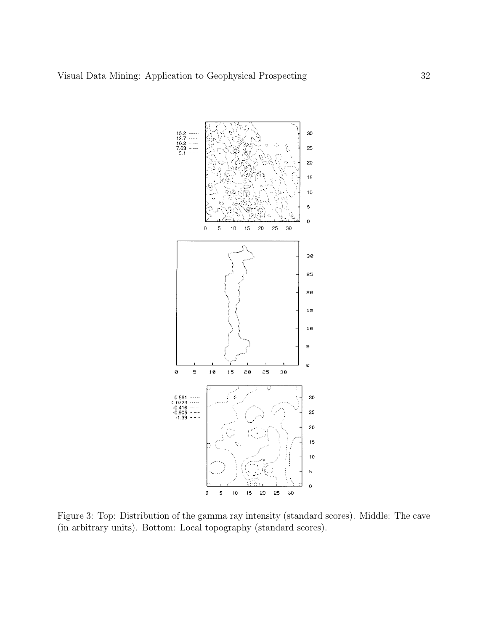

Figure 3: Top: Distribution of the gamma ray intensity (standard scores). Middle: The cave (in arbitrary units). Bottom: Local topography (standard scores).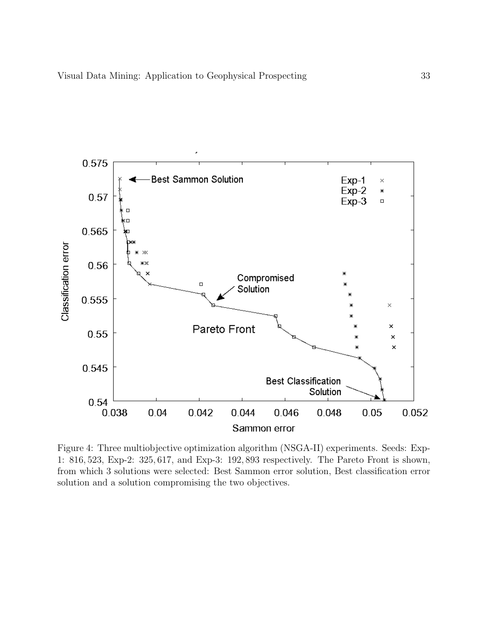

Figure 4: Three multiobjective optimization algorithm (NSGA-II) experiments. Seeds: Exp-1: 816, 523, Exp-2: 325, 617, and Exp-3: 192, 893 respectively. The Pareto Front is shown, from which 3 solutions were selected: Best Sammon error solution, Best classification error solution and a solution compromising the two objectives.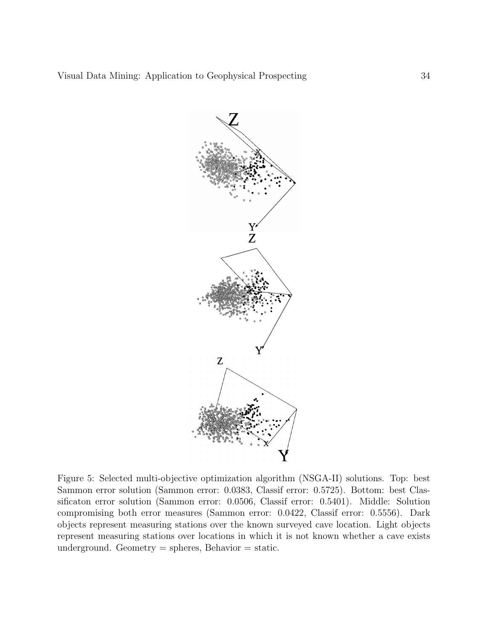

Figure 5: Selected multi-objective optimization algorithm (NSGA-II) solutions. Top: best Sammon error solution (Sammon error: 0.0383, Classif error: 0.5725). Bottom: best Classificaton error solution (Sammon error: 0.0506, Classif error: 0.5401). Middle: Solution compromising both error measures (Sammon error: 0.0422, Classif error: 0.5556). Dark objects represent measuring stations over the known surveyed cave location. Light objects represent measuring stations over locations in which it is not known whether a cave exists underground. Geometry  $=$  spheres, Behavior  $=$  static.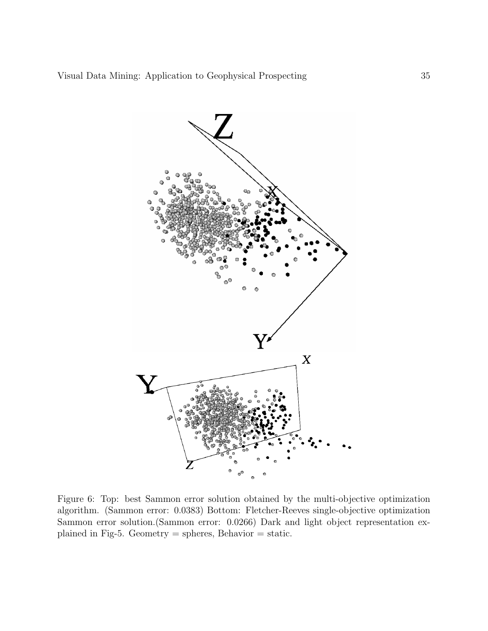

Figure 6: Top: best Sammon error solution obtained by the multi-objective optimization algorithm. (Sammon error: 0.0383) Bottom: Fletcher-Reeves single-objective optimization Sammon error solution.(Sammon error: 0.0266) Dark and light object representation explained in Fig-5. Geometry = spheres, Behavior = static.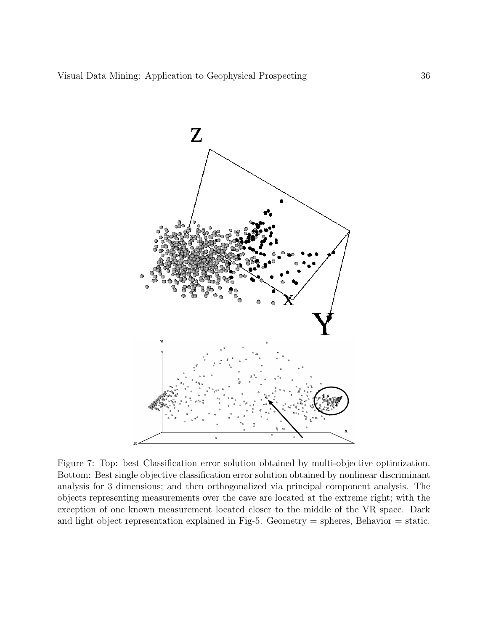

Figure 7: Top: best Classification error solution obtained by multi-objective optimization. Bottom: Best single objective classification error solution obtained by nonlinear discriminant analysis for 3 dimensions; and then orthogonalized via principal component analysis. The objects representing measurements over the cave are located at the extreme right; with the exception of one known measurement located closer to the middle of the VR space. Dark and light object representation explained in Fig-5. Geometry  $=$  spheres, Behavior  $=$  static.